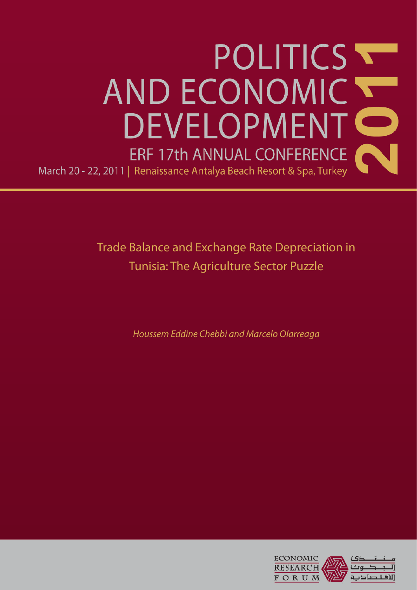

Trade Balance and Exchange Rate Depreciation in Tunisia: The Agriculture Sector Puzzle

Houssem Eddine Chebbi and Marcelo Olarreaga

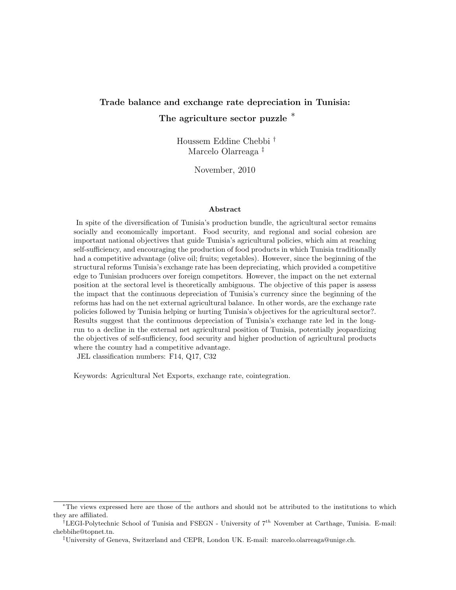# Trade balance and exchange rate depreciation in Tunisia: The agriculture sector puzzle  $*$

Houssem Eddine Chebbi † Marcelo Olarreaga ‡

November, 2010

#### Abstract

In spite of the diversification of Tunisia's production bundle, the agricultural sector remains socially and economically important. Food security, and regional and social cohesion are important national objectives that guide Tunisia's agricultural policies, which aim at reaching self-sufficiency, and encouraging the production of food products in which Tunisia traditionally had a competitive advantage (olive oil; fruits; vegetables). However, since the beginning of the structural reforms Tunisia's exchange rate has been depreciating, which provided a competitive edge to Tunisian producers over foreign competitors. However, the impact on the net external position at the sectoral level is theoretically ambiguous. The objective of this paper is assess the impact that the continuous depreciation of Tunisia's currency since the beginning of the reforms has had on the net external agricultural balance. In other words, are the exchange rate policies followed by Tunisia helping or hurting Tunisia's objectives for the agricultural sector?. Results suggest that the continuous depreciation of Tunisia's exchange rate led in the longrun to a decline in the external net agricultural position of Tunisia, potentially jeopardizing the objectives of self-sufficiency, food security and higher production of agricultural products where the country had a competitive advantage.

JEL classification numbers: F14, Q17, C32

Keywords: Agricultural Net Exports, exchange rate, cointegration.

<sup>∗</sup>The views expressed here are those of the authors and should not be attributed to the institutions to which they are affiliated.

 $\overline{U}^{\dagger}$ LEGI-Polytechnic School of Tunisia and FSEGN - University of  $7^{th}$  November at Carthage, Tunisia. E-mail: chebbihe@topnet.tn.

<sup>‡</sup>University of Geneva, Switzerland and CEPR, London UK. E-mail: marcelo.olarreaga@unige.ch.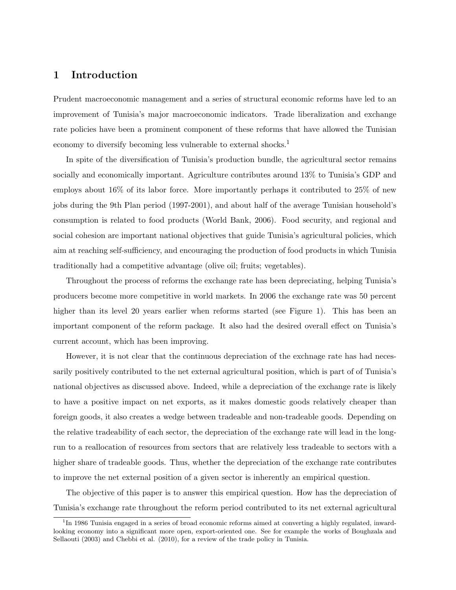### 1 Introduction

Prudent macroeconomic management and a series of structural economic reforms have led to an improvement of Tunisia's major macroeconomic indicators. Trade liberalization and exchange rate policies have been a prominent component of these reforms that have allowed the Tunisian economy to diversify becoming less vulnerable to external shocks.<sup>1</sup>

In spite of the diversification of Tunisia's production bundle, the agricultural sector remains socially and economically important. Agriculture contributes around 13% to Tunisia's GDP and employs about 16% of its labor force. More importantly perhaps it contributed to 25% of new jobs during the 9th Plan period (1997-2001), and about half of the average Tunisian household's consumption is related to food products (World Bank, 2006). Food security, and regional and social cohesion are important national objectives that guide Tunisia's agricultural policies, which aim at reaching self-sufficiency, and encouraging the production of food products in which Tunisia traditionally had a competitive advantage (olive oil; fruits; vegetables).

Throughout the process of reforms the exchange rate has been depreciating, helping Tunisia's producers become more competitive in world markets. In 2006 the exchange rate was 50 percent higher than its level 20 years earlier when reforms started (see Figure 1). This has been an important component of the reform package. It also had the desired overall effect on Tunisia's current account, which has been improving.

However, it is not clear that the continuous depreciation of the exchnage rate has had necessarily positively contributed to the net external agricultural position, which is part of of Tunisia's national objectives as discussed above. Indeed, while a depreciation of the exchange rate is likely to have a positive impact on net exports, as it makes domestic goods relatively cheaper than foreign goods, it also creates a wedge between tradeable and non-tradeable goods. Depending on the relative tradeability of each sector, the depreciation of the exchange rate will lead in the longrun to a reallocation of resources from sectors that are relatively less tradeable to sectors with a higher share of tradeable goods. Thus, whether the depreciation of the exchange rate contributes to improve the net external position of a given sector is inherently an empirical question.

The objective of this paper is to answer this empirical question. How has the depreciation of Tunisia's exchange rate throughout the reform period contributed to its net external agricultural

<sup>&</sup>lt;sup>1</sup>In 1986 Tunisia engaged in a series of broad economic reforms aimed at converting a highly regulated, inwardlooking economy into a significant more open, export-oriented one. See for example the works of Boughzala and Sellaouti (2003) and Chebbi et al. (2010), for a review of the trade policy in Tunisia.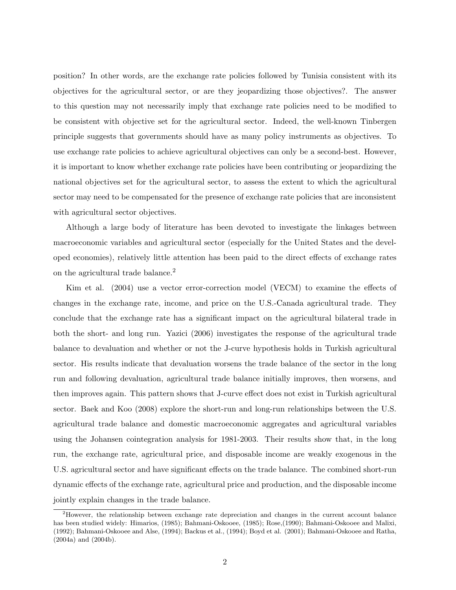position? In other words, are the exchange rate policies followed by Tunisia consistent with its objectives for the agricultural sector, or are they jeopardizing those objectives?. The answer to this question may not necessarily imply that exchange rate policies need to be modified to be consistent with objective set for the agricultural sector. Indeed, the well-known Tinbergen principle suggests that governments should have as many policy instruments as objectives. To use exchange rate policies to achieve agricultural objectives can only be a second-best. However, it is important to know whether exchange rate policies have been contributing or jeopardizing the national objectives set for the agricultural sector, to assess the extent to which the agricultural sector may need to be compensated for the presence of exchange rate policies that are inconsistent with agricultural sector objectives.

Although a large body of literature has been devoted to investigate the linkages between macroeconomic variables and agricultural sector (especially for the United States and the developed economies), relatively little attention has been paid to the direct effects of exchange rates on the agricultural trade balance.<sup>2</sup>

Kim et al. (2004) use a vector error-correction model (VECM) to examine the effects of changes in the exchange rate, income, and price on the U.S.-Canada agricultural trade. They conclude that the exchange rate has a significant impact on the agricultural bilateral trade in both the short- and long run. Yazici (2006) investigates the response of the agricultural trade balance to devaluation and whether or not the J-curve hypothesis holds in Turkish agricultural sector. His results indicate that devaluation worsens the trade balance of the sector in the long run and following devaluation, agricultural trade balance initially improves, then worsens, and then improves again. This pattern shows that J-curve effect does not exist in Turkish agricultural sector. Baek and Koo (2008) explore the short-run and long-run relationships between the U.S. agricultural trade balance and domestic macroeconomic aggregates and agricultural variables using the Johansen cointegration analysis for 1981-2003. Their results show that, in the long run, the exchange rate, agricultural price, and disposable income are weakly exogenous in the U.S. agricultural sector and have significant effects on the trade balance. The combined short-run dynamic effects of the exchange rate, agricultural price and production, and the disposable income jointly explain changes in the trade balance.

<sup>2</sup>However, the relationship between exchange rate depreciation and changes in the current account balance has been studied widely: Himarios, (1985); Bahmani-Oskooee, (1985); Rose,(1990); Bahmani-Oskooee and Malixi, (1992); Bahmani-Oskooee and Alse, (1994); Backus et al., (1994); Boyd et al. (2001); Bahmani-Oskooee and Ratha, (2004a) and (2004b).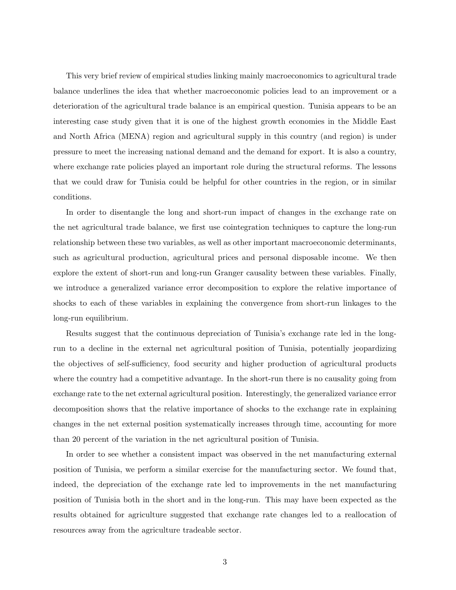This very brief review of empirical studies linking mainly macroeconomics to agricultural trade balance underlines the idea that whether macroeconomic policies lead to an improvement or a deterioration of the agricultural trade balance is an empirical question. Tunisia appears to be an interesting case study given that it is one of the highest growth economies in the Middle East and North Africa (MENA) region and agricultural supply in this country (and region) is under pressure to meet the increasing national demand and the demand for export. It is also a country, where exchange rate policies played an important role during the structural reforms. The lessons that we could draw for Tunisia could be helpful for other countries in the region, or in similar conditions.

In order to disentangle the long and short-run impact of changes in the exchange rate on the net agricultural trade balance, we first use cointegration techniques to capture the long-run relationship between these two variables, as well as other important macroeconomic determinants, such as agricultural production, agricultural prices and personal disposable income. We then explore the extent of short-run and long-run Granger causality between these variables. Finally, we introduce a generalized variance error decomposition to explore the relative importance of shocks to each of these variables in explaining the convergence from short-run linkages to the long-run equilibrium.

Results suggest that the continuous depreciation of Tunisia's exchange rate led in the longrun to a decline in the external net agricultural position of Tunisia, potentially jeopardizing the objectives of self-sufficiency, food security and higher production of agricultural products where the country had a competitive advantage. In the short-run there is no causality going from exchange rate to the net external agricultural position. Interestingly, the generalized variance error decomposition shows that the relative importance of shocks to the exchange rate in explaining changes in the net external position systematically increases through time, accounting for more than 20 percent of the variation in the net agricultural position of Tunisia.

In order to see whether a consistent impact was observed in the net manufacturing external position of Tunisia, we perform a similar exercise for the manufacturing sector. We found that, indeed, the depreciation of the exchange rate led to improvements in the net manufacturing position of Tunisia both in the short and in the long-run. This may have been expected as the results obtained for agriculture suggested that exchange rate changes led to a reallocation of resources away from the agriculture tradeable sector.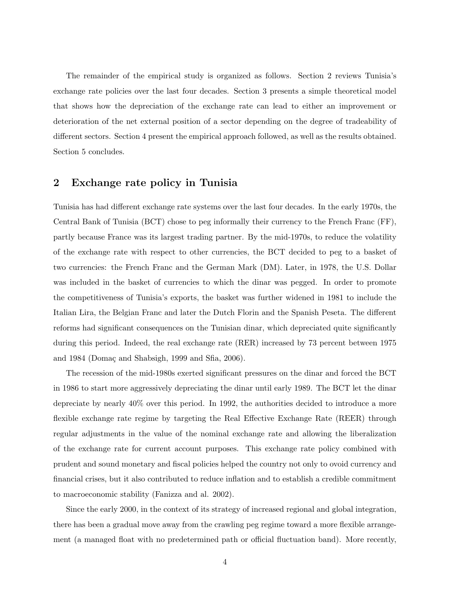The remainder of the empirical study is organized as follows. Section 2 reviews Tunisia's exchange rate policies over the last four decades. Section 3 presents a simple theoretical model that shows how the depreciation of the exchange rate can lead to either an improvement or deterioration of the net external position of a sector depending on the degree of tradeability of different sectors. Section 4 present the empirical approach followed, as well as the results obtained. Section 5 concludes.

### 2 Exchange rate policy in Tunisia

Tunisia has had different exchange rate systems over the last four decades. In the early 1970s, the Central Bank of Tunisia (BCT) chose to peg informally their currency to the French Franc (FF), partly because France was its largest trading partner. By the mid-1970s, to reduce the volatility of the exchange rate with respect to other currencies, the BCT decided to peg to a basket of two currencies: the French Franc and the German Mark (DM). Later, in 1978, the U.S. Dollar was included in the basket of currencies to which the dinar was pegged. In order to promote the competitiveness of Tunisia's exports, the basket was further widened in 1981 to include the Italian Lira, the Belgian Franc and later the Dutch Florin and the Spanish Peseta. The different reforms had significant consequences on the Tunisian dinar, which depreciated quite significantly during this period. Indeed, the real exchange rate (RER) increased by 73 percent between 1975 and 1984 (Domaç and Shabsigh, 1999 and Sfia,  $2006$ ).

The recession of the mid-1980s exerted significant pressures on the dinar and forced the BCT in 1986 to start more aggressively depreciating the dinar until early 1989. The BCT let the dinar depreciate by nearly 40% over this period. In 1992, the authorities decided to introduce a more flexible exchange rate regime by targeting the Real Effective Exchange Rate (REER) through regular adjustments in the value of the nominal exchange rate and allowing the liberalization of the exchange rate for current account purposes. This exchange rate policy combined with prudent and sound monetary and fiscal policies helped the country not only to ovoid currency and financial crises, but it also contributed to reduce inflation and to establish a credible commitment to macroeconomic stability (Fanizza and al. 2002).

Since the early 2000, in the context of its strategy of increased regional and global integration, there has been a gradual move away from the crawling peg regime toward a more flexible arrangement (a managed float with no predetermined path or official fluctuation band). More recently,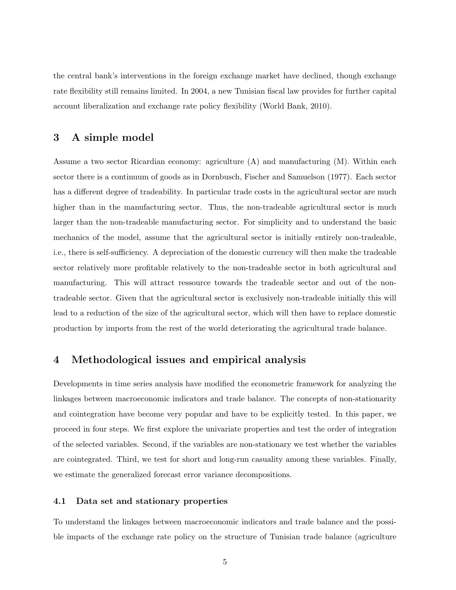the central bank's interventions in the foreign exchange market have declined, though exchange rate flexibility still remains limited. In 2004, a new Tunisian fiscal law provides for further capital account liberalization and exchange rate policy flexibility (World Bank, 2010).

### 3 A simple model

Assume a two sector Ricardian economy: agriculture (A) and manufacturing (M). Within each sector there is a continuum of goods as in Dornbusch, Fischer and Samuelson (1977). Each sector has a different degree of tradeability. In particular trade costs in the agricultural sector are much higher than in the manufacturing sector. Thus, the non-tradeable agricultural sector is much larger than the non-tradeable manufacturing sector. For simplicity and to understand the basic mechanics of the model, assume that the agricultural sector is initially entirely non-tradeable, i.e., there is self-sufficiency. A depreciation of the domestic currency will then make the tradeable sector relatively more profitable relatively to the non-tradeable sector in both agricultural and manufacturing. This will attract ressource towards the tradeable sector and out of the nontradeable sector. Given that the agricultural sector is exclusively non-tradeable initially this will lead to a reduction of the size of the agricultural sector, which will then have to replace domestic production by imports from the rest of the world deteriorating the agricultural trade balance.

### 4 Methodological issues and empirical analysis

Developments in time series analysis have modified the econometric framework for analyzing the linkages between macroeconomic indicators and trade balance. The concepts of non-stationarity and cointegration have become very popular and have to be explicitly tested. In this paper, we proceed in four steps. We first explore the univariate properties and test the order of integration of the selected variables. Second, if the variables are non-stationary we test whether the variables are cointegrated. Third, we test for short and long-run casuality among these variables. Finally, we estimate the generalized forecast error variance decompositions.

#### 4.1 Data set and stationary properties

To understand the linkages between macroeconomic indicators and trade balance and the possible impacts of the exchange rate policy on the structure of Tunisian trade balance (agriculture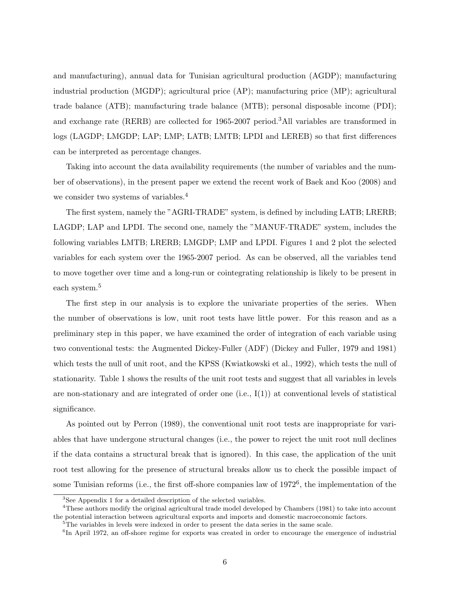and manufacturing), annual data for Tunisian agricultural production (AGDP); manufacturing industrial production (MGDP); agricultural price (AP); manufacturing price (MP); agricultural trade balance (ATB); manufacturing trade balance (MTB); personal disposable income (PDI); and exchange rate (RERB) are collected for 1965-2007 period.<sup>3</sup>All variables are transformed in logs (LAGDP; LMGDP; LAP; LMP; LATB; LMTB; LPDI and LEREB) so that first differences can be interpreted as percentage changes.

Taking into account the data availability requirements (the number of variables and the number of observations), in the present paper we extend the recent work of Baek and Koo (2008) and we consider two systems of variables.<sup>4</sup>

The first system, namely the "AGRI-TRADE" system, is defined by including LATB; LRERB; LAGDP; LAP and LPDI. The second one, namely the "MANUF-TRADE" system, includes the following variables LMTB; LRERB; LMGDP; LMP and LPDI. Figures 1 and 2 plot the selected variables for each system over the 1965-2007 period. As can be observed, all the variables tend to move together over time and a long-run or cointegrating relationship is likely to be present in each system.<sup>5</sup>

The first step in our analysis is to explore the univariate properties of the series. When the number of observations is low, unit root tests have little power. For this reason and as a preliminary step in this paper, we have examined the order of integration of each variable using two conventional tests: the Augmented Dickey-Fuller (ADF) (Dickey and Fuller, 1979 and 1981) which tests the null of unit root, and the KPSS (Kwiatkowski et al., 1992), which tests the null of stationarity. Table 1 shows the results of the unit root tests and suggest that all variables in levels are non-stationary and are integrated of order one (i.e.,  $I(1)$ ) at conventional levels of statistical significance.

As pointed out by Perron (1989), the conventional unit root tests are inappropriate for variables that have undergone structural changes (i.e., the power to reject the unit root null declines if the data contains a structural break that is ignored). In this case, the application of the unit root test allowing for the presence of structural breaks allow us to check the possible impact of some Tunisian reforms (i.e., the first off-shore companies law of 1972<sup>6</sup>, the implementation of the

 ${}^{3}$ See Appendix 1 for a detailed description of the selected variables.

<sup>4</sup>These authors modify the original agricultural trade model developed by Chambers (1981) to take into account the potential interaction between agricultural exports and imports and domestic macroeconomic factors.

<sup>&</sup>lt;sup>5</sup>The variables in levels were indexed in order to present the data series in the same scale.

<sup>&</sup>lt;sup>6</sup>In April 1972, an off-shore regime for exports was created in order to encourage the emergence of industrial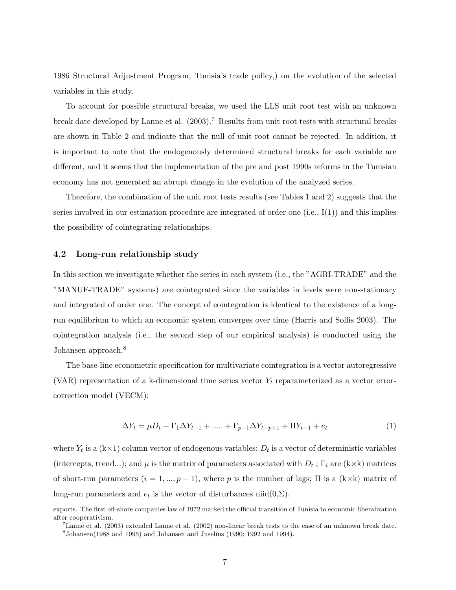1986 Structural Adjustment Program, Tunisia's trade policy,) on the evolution of the selected variables in this study.

To account for possible structural breaks, we used the LLS unit root test with an unknown break date developed by Lanne et al. (2003).<sup>7</sup> Results from unit root tests with structural breaks are shown in Table 2 and indicate that the null of unit root cannot be rejected. In addition, it is important to note that the endogenously determined structural breaks for each variable are different, and it seems that the implementation of the pre and post 1990s reforms in the Tunisian economy has not generated an abrupt change in the evolution of the analyzed series.

Therefore, the combination of the unit root tests results (see Tables 1 and 2) suggests that the series involved in our estimation procedure are integrated of order one  $(i.e., I(1))$  and this implies the possibility of cointegrating relationships.

#### 4.2 Long-run relationship study

In this section we investigate whether the series in each system (i.e., the "AGRI-TRADE" and the "MANUF-TRADE" systems) are cointegrated since the variables in levels were non-stationary and integrated of order one. The concept of cointegration is identical to the existence of a longrun equilibrium to which an economic system converges over time (Harris and Sollis 2003). The cointegration analysis (i.e., the second step of our empirical analysis) is conducted using the Johansen approach.<sup>8</sup>

The base-line econometric specification for multivariate cointegration is a vector autoregressive (VAR) representation of a k-dimensional time series vector  $Y_t$  reparameterized as a vector errorcorrection model (VECM):

$$
\Delta Y_t = \mu D_t + \Gamma_1 \Delta Y_{t-1} + \dots + \Gamma_{p-1} \Delta Y_{t-p+1} + \Pi Y_{t-1} + e_t \tag{1}
$$

where  $Y_t$  is a  $(k \times 1)$  column vector of endogenous variables;  $D_t$  is a vector of deterministic variables (intercepts, trend...); and  $\mu$  is the matrix of parameters associated with  $D_t$ ;  $\Gamma_i$  are (k×k) matrices of short-run parameters  $(i = 1, ..., p - 1)$ , where p is the number of lags;  $\Pi$  is a  $(k \times k)$  matrix of long-run parameters and  $e_t$  is the vector of disturbances niid $(0,\Sigma)$ .

exports. The first off-shore companies law of 1972 marked the official transition of Tunisia to economic liberalization after cooperativism.

<sup>7</sup>Lanne et al. (2003) extended Lanne et al. (2002) non-linear break tests to the case of an unknown break date.  $^8$ Johansen(1988 and 1995) and Johansen and Juselius (1990; 1992 and 1994).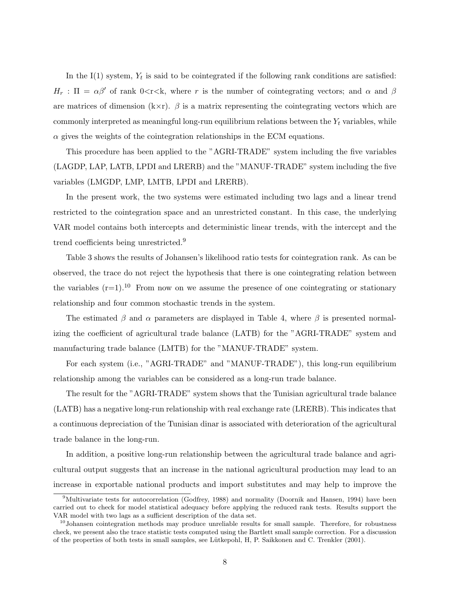In the I(1) system,  $Y_t$  is said to be cointegrated if the following rank conditions are satisfied:  $H_r$ :  $\Pi = \alpha \beta'$  of rank 0<rks, where r is the number of cointegrating vectors; and  $\alpha$  and  $\beta$ are matrices of dimension  $(k \times r)$ .  $\beta$  is a matrix representing the cointegrating vectors which are commonly interpreted as meaningful long-run equilibrium relations between the  $Y_t$  variables, while  $\alpha$  gives the weights of the cointegration relationships in the ECM equations.

This procedure has been applied to the "AGRI-TRADE" system including the five variables (LAGDP, LAP, LATB, LPDI and LRERB) and the "MANUF-TRADE" system including the five variables (LMGDP, LMP, LMTB, LPDI and LRERB).

In the present work, the two systems were estimated including two lags and a linear trend restricted to the cointegration space and an unrestricted constant. In this case, the underlying VAR model contains both intercepts and deterministic linear trends, with the intercept and the trend coefficients being unrestricted.<sup>9</sup>

Table 3 shows the results of Johansen's likelihood ratio tests for cointegration rank. As can be observed, the trace do not reject the hypothesis that there is one cointegrating relation between the variables  $(r=1).^{10}$  From now on we assume the presence of one cointegrating or stationary relationship and four common stochastic trends in the system.

The estimated  $\beta$  and  $\alpha$  parameters are displayed in Table 4, where  $\beta$  is presented normalizing the coefficient of agricultural trade balance (LATB) for the "AGRI-TRADE" system and manufacturing trade balance (LMTB) for the "MANUF-TRADE" system.

For each system (i.e., "AGRI-TRADE" and "MANUF-TRADE"), this long-run equilibrium relationship among the variables can be considered as a long-run trade balance.

The result for the "AGRI-TRADE" system shows that the Tunisian agricultural trade balance (LATB) has a negative long-run relationship with real exchange rate (LRERB). This indicates that a continuous depreciation of the Tunisian dinar is associated with deterioration of the agricultural trade balance in the long-run.

In addition, a positive long-run relationship between the agricultural trade balance and agricultural output suggests that an increase in the national agricultural production may lead to an increase in exportable national products and import substitutes and may help to improve the

<sup>&</sup>lt;sup>9</sup>Multivariate tests for autocorrelation (Godfrey, 1988) and normality (Doornik and Hansen, 1994) have been carried out to check for model statistical adequacy before applying the reduced rank tests. Results support the VAR model with two lags as a sufficient description of the data set.

<sup>&</sup>lt;sup>10</sup>Johansen cointegration methods may produce unreliable results for small sample. Therefore, for robustness check, we present also the trace statistic tests computed using the Bartlett small sample correction. For a discussion of the properties of both tests in small samples, see Lütkepohl, H, P. Saikkonen and C. Trenkler (2001).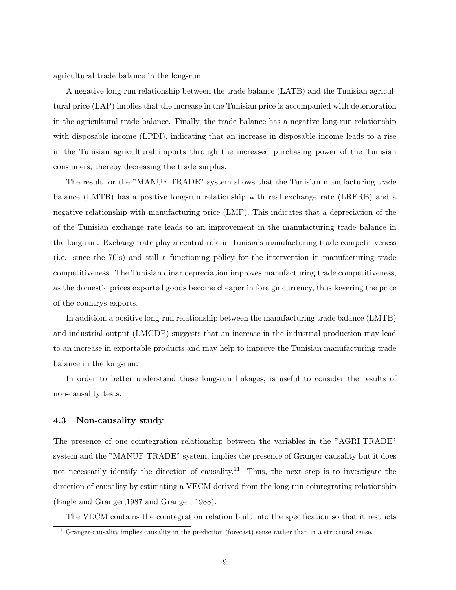agricultural trade balance in the long-run.

A negative long-run relationship between the trade balance (LATB) and the Tunisian agricultural price (LAP) implies that the increase in the Tunisian price is accompanied with deterioration in the agricultural trade balance. Finally, the trade balance has a negative long-run relationship with disposable income (LPDI), indicating that an increase in disposable income leads to a rise in the Tunisian agricultural imports through the increased purchasing power of the Tunisian consumers, thereby decreasing the trade surplus.

The result for the "MANUF-TRADE" system shows that the Tunisian manufacturing trade balance (LMTB) has a positive long-run relationship with real exchange rate (LRERB) and a negative relationship with manufacturing price (LMP). This indicates that a depreciation of the of the Tunisian exchange rate leads to an improvement in the manufacturing trade balance in the long-run. Exchange rate play a central role in Tunisia's manufacturing trade competitiveness (i.e., since the 70's) and still a functioning policy for the intervention in manufacturing trade competitiveness. The Tunisian dinar depreciation improves manufacturing trade competitiveness, as the domestic prices exported goods become cheaper in foreign currency, thus lowering the price of the countrys exports.

In addition, a positive long-run relationship between the manufacturing trade balance (LMTB) and industrial output (LMGDP) suggests that an increase in the industrial production may lead to an increase in exportable products and may help to improve the Tunisian manufacturing trade balance in the long-run.

In order to better understand these long-run linkages, is useful to consider the results of non-causality tests.

#### 4.3 Non-causality study

The presence of one cointegration relationship between the variables in the "AGRI-TRADE" system and the "MANUF-TRADE" system, implies the presence of Granger-causality but it does not necessarily identify the direction of causality.<sup>11</sup> Thus, the next step is to investigate the direction of causality by estimating a VECM derived from the long-run cointegrating relationship (Engle and Granger,1987 and Granger, 1988).

The VECM contains the cointegration relation built into the specification so that it restricts

<sup>11</sup>Granger-causality implies causality in the prediction (forecast) sense rather than in a structural sense.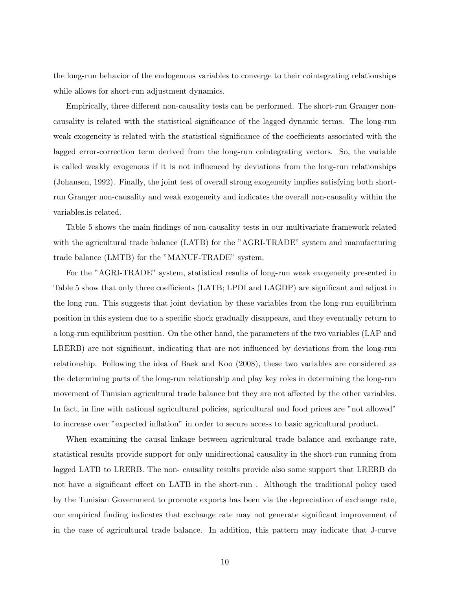the long-run behavior of the endogenous variables to converge to their cointegrating relationships while allows for short-run adjustment dynamics.

Empirically, three different non-causality tests can be performed. The short-run Granger noncausality is related with the statistical significance of the lagged dynamic terms. The long-run weak exogeneity is related with the statistical significance of the coefficients associated with the lagged error-correction term derived from the long-run cointegrating vectors. So, the variable is called weakly exogenous if it is not influenced by deviations from the long-run relationships (Johansen, 1992). Finally, the joint test of overall strong exogeneity implies satisfying both shortrun Granger non-causality and weak exogeneity and indicates the overall non-causality within the variables.is related.

Table 5 shows the main findings of non-causality tests in our multivariate framework related with the agricultural trade balance (LATB) for the "AGRI-TRADE" system and manufacturing trade balance (LMTB) for the "MANUF-TRADE" system.

For the "AGRI-TRADE" system, statistical results of long-run weak exogeneity presented in Table 5 show that only three coefficients (LATB; LPDI and LAGDP) are significant and adjust in the long run. This suggests that joint deviation by these variables from the long-run equilibrium position in this system due to a specific shock gradually disappears, and they eventually return to a long-run equilibrium position. On the other hand, the parameters of the two variables (LAP and LRERB) are not significant, indicating that are not influenced by deviations from the long-run relationship. Following the idea of Baek and Koo (2008), these two variables are considered as the determining parts of the long-run relationship and play key roles in determining the long-run movement of Tunisian agricultural trade balance but they are not affected by the other variables. In fact, in line with national agricultural policies, agricultural and food prices are "not allowed" to increase over "expected inflation" in order to secure access to basic agricultural product.

When examining the causal linkage between agricultural trade balance and exchange rate, statistical results provide support for only unidirectional causality in the short-run running from lagged LATB to LRERB. The non- causality results provide also some support that LRERB do not have a significant effect on LATB in the short-run . Although the traditional policy used by the Tunisian Government to promote exports has been via the depreciation of exchange rate, our empirical finding indicates that exchange rate may not generate significant improvement of in the case of agricultural trade balance. In addition, this pattern may indicate that J-curve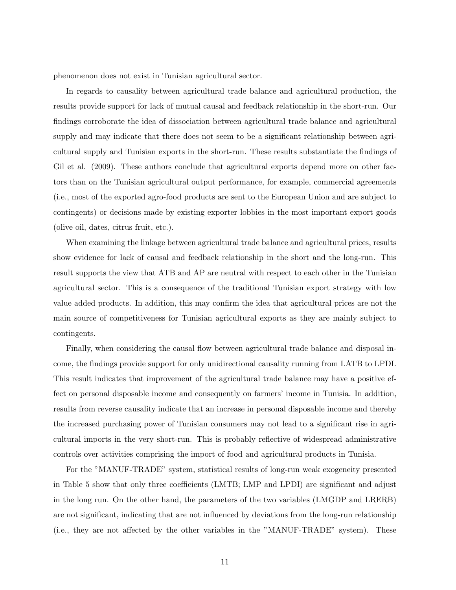phenomenon does not exist in Tunisian agricultural sector.

In regards to causality between agricultural trade balance and agricultural production, the results provide support for lack of mutual causal and feedback relationship in the short-run. Our findings corroborate the idea of dissociation between agricultural trade balance and agricultural supply and may indicate that there does not seem to be a significant relationship between agricultural supply and Tunisian exports in the short-run. These results substantiate the findings of Gil et al. (2009). These authors conclude that agricultural exports depend more on other factors than on the Tunisian agricultural output performance, for example, commercial agreements (i.e., most of the exported agro-food products are sent to the European Union and are subject to contingents) or decisions made by existing exporter lobbies in the most important export goods (olive oil, dates, citrus fruit, etc.).

When examining the linkage between agricultural trade balance and agricultural prices, results show evidence for lack of causal and feedback relationship in the short and the long-run. This result supports the view that ATB and AP are neutral with respect to each other in the Tunisian agricultural sector. This is a consequence of the traditional Tunisian export strategy with low value added products. In addition, this may confirm the idea that agricultural prices are not the main source of competitiveness for Tunisian agricultural exports as they are mainly subject to contingents.

Finally, when considering the causal flow between agricultural trade balance and disposal income, the findings provide support for only unidirectional causality running from LATB to LPDI. This result indicates that improvement of the agricultural trade balance may have a positive effect on personal disposable income and consequently on farmers' income in Tunisia. In addition, results from reverse causality indicate that an increase in personal disposable income and thereby the increased purchasing power of Tunisian consumers may not lead to a significant rise in agricultural imports in the very short-run. This is probably reflective of widespread administrative controls over activities comprising the import of food and agricultural products in Tunisia.

For the "MANUF-TRADE" system, statistical results of long-run weak exogeneity presented in Table 5 show that only three coefficients (LMTB; LMP and LPDI) are significant and adjust in the long run. On the other hand, the parameters of the two variables (LMGDP and LRERB) are not significant, indicating that are not influenced by deviations from the long-run relationship (i.e., they are not affected by the other variables in the "MANUF-TRADE" system). These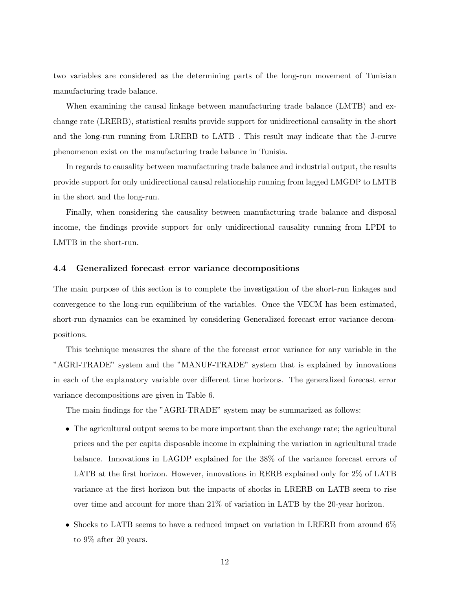two variables are considered as the determining parts of the long-run movement of Tunisian manufacturing trade balance.

When examining the causal linkage between manufacturing trade balance (LMTB) and exchange rate (LRERB), statistical results provide support for unidirectional causality in the short and the long-run running from LRERB to LATB . This result may indicate that the J-curve phenomenon exist on the manufacturing trade balance in Tunisia.

In regards to causality between manufacturing trade balance and industrial output, the results provide support for only unidirectional causal relationship running from lagged LMGDP to LMTB in the short and the long-run.

Finally, when considering the causality between manufacturing trade balance and disposal income, the findings provide support for only unidirectional causality running from LPDI to LMTB in the short-run.

#### 4.4 Generalized forecast error variance decompositions

The main purpose of this section is to complete the investigation of the short-run linkages and convergence to the long-run equilibrium of the variables. Once the VECM has been estimated, short-run dynamics can be examined by considering Generalized forecast error variance decompositions.

This technique measures the share of the the forecast error variance for any variable in the "AGRI-TRADE" system and the "MANUF-TRADE" system that is explained by innovations in each of the explanatory variable over different time horizons. The generalized forecast error variance decompositions are given in Table 6.

The main findings for the "AGRI-TRADE" system may be summarized as follows:

- The agricultural output seems to be more important than the exchange rate; the agricultural prices and the per capita disposable income in explaining the variation in agricultural trade balance. Innovations in LAGDP explained for the 38% of the variance forecast errors of LATB at the first horizon. However, innovations in RERB explained only for 2% of LATB variance at the first horizon but the impacts of shocks in LRERB on LATB seem to rise over time and account for more than 21% of variation in LATB by the 20-year horizon.
- Shocks to LATB seems to have a reduced impact on variation in LRERB from around 6% to 9% after 20 years.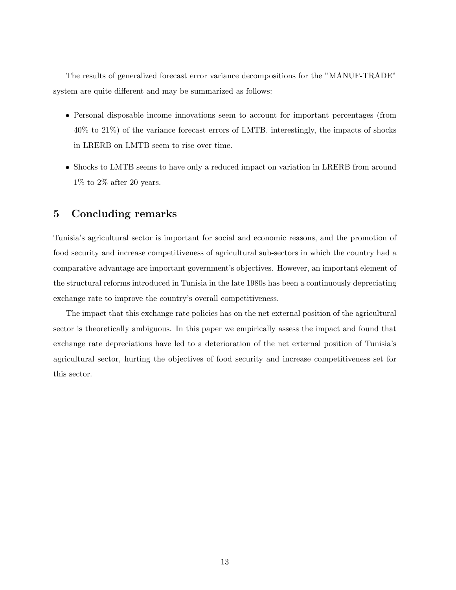The results of generalized forecast error variance decompositions for the "MANUF-TRADE" system are quite different and may be summarized as follows:

- Personal disposable income innovations seem to account for important percentages (from 40% to 21%) of the variance forecast errors of LMTB. interestingly, the impacts of shocks in LRERB on LMTB seem to rise over time.
- Shocks to LMTB seems to have only a reduced impact on variation in LRERB from around  $1\%$  to  $2\%$  after 20 years.

## 5 Concluding remarks

Tunisia's agricultural sector is important for social and economic reasons, and the promotion of food security and increase competitiveness of agricultural sub-sectors in which the country had a comparative advantage are important government's objectives. However, an important element of the structural reforms introduced in Tunisia in the late 1980s has been a continuously depreciating exchange rate to improve the country's overall competitiveness.

The impact that this exchange rate policies has on the net external position of the agricultural sector is theoretically ambiguous. In this paper we empirically assess the impact and found that exchange rate depreciations have led to a deterioration of the net external position of Tunisia's agricultural sector, hurting the objectives of food security and increase competitiveness set for this sector.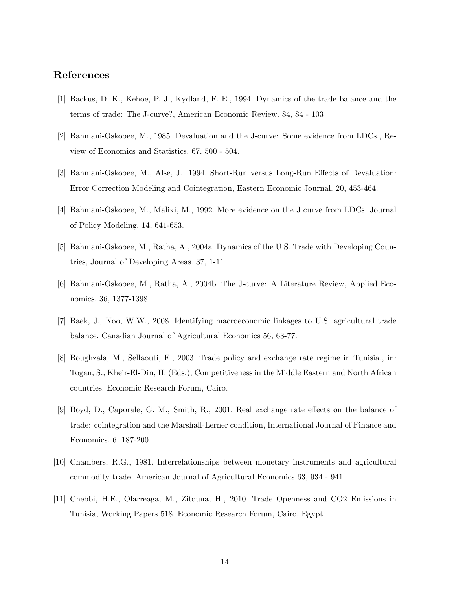## References

- [1] Backus, D. K., Kehoe, P. J., Kydland, F. E., 1994. Dynamics of the trade balance and the terms of trade: The J-curve?, American Economic Review. 84, 84 - 103
- [2] Bahmani-Oskooee, M., 1985. Devaluation and the J-curve: Some evidence from LDCs., Review of Economics and Statistics. 67, 500 - 504.
- [3] Bahmani-Oskooee, M., Alse, J., 1994. Short-Run versus Long-Run Effects of Devaluation: Error Correction Modeling and Cointegration, Eastern Economic Journal. 20, 453-464.
- [4] Bahmani-Oskooee, M., Malixi, M., 1992. More evidence on the J curve from LDCs, Journal of Policy Modeling. 14, 641-653.
- [5] Bahmani-Oskooee, M., Ratha, A., 2004a. Dynamics of the U.S. Trade with Developing Countries, Journal of Developing Areas. 37, 1-11.
- [6] Bahmani-Oskooee, M., Ratha, A., 2004b. The J-curve: A Literature Review, Applied Economics. 36, 1377-1398.
- [7] Baek, J., Koo, W.W., 2008. Identifying macroeconomic linkages to U.S. agricultural trade balance. Canadian Journal of Agricultural Economics 56, 63-77.
- [8] Boughzala, M., Sellaouti, F., 2003. Trade policy and exchange rate regime in Tunisia., in: Togan, S., Kheir-El-Din, H. (Eds.), Competitiveness in the Middle Eastern and North African countries. Economic Research Forum, Cairo.
- [9] Boyd, D., Caporale, G. M., Smith, R., 2001. Real exchange rate effects on the balance of trade: cointegration and the Marshall-Lerner condition, International Journal of Finance and Economics. 6, 187-200.
- [10] Chambers, R.G., 1981. Interrelationships between monetary instruments and agricultural commodity trade. American Journal of Agricultural Economics 63, 934 - 941.
- [11] Chebbi, H.E., Olarreaga, M., Zitouna, H., 2010. Trade Openness and CO2 Emissions in Tunisia, Working Papers 518. Economic Research Forum, Cairo, Egypt.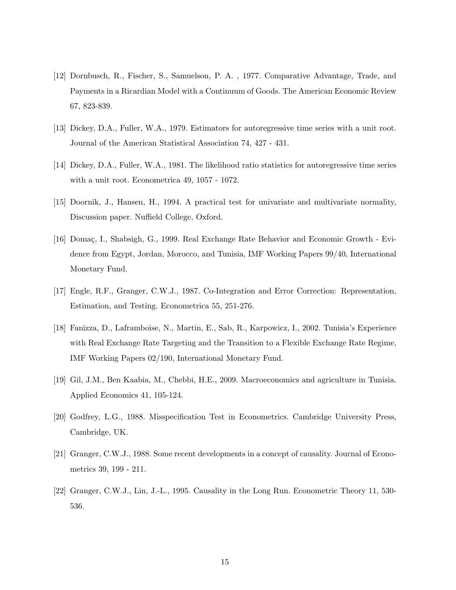- [12] Dornbusch, R., Fischer, S., Samuelson, P. A. , 1977. Comparative Advantage, Trade, and Payments in a Ricardian Model with a Continuum of Goods. The American Economic Review 67, 823-839.
- [13] Dickey, D.A., Fuller, W.A., 1979. Estimators for autoregressive time series with a unit root. Journal of the American Statistical Association 74, 427 - 431.
- [14] Dickey, D.A., Fuller, W.A., 1981. The likelihood ratio statistics for autoregressive time series with a unit root. Econometrica 49, 1057 - 1072.
- [15] Doornik, J., Hansen, H., 1994. A practical test for univariate and multivariate normality, Discussion paper. Nuffield College, Oxford.
- [16] Domaç, I., Shabsigh, G., 1999. Real Exchange Rate Behavior and Economic Growth Evidence from Egypt, Jordan, Morocco, and Tunisia, IMF Working Papers 99/40, International Monetary Fund.
- [17] Engle, R.F., Granger, C.W.J., 1987. Co-Integration and Error Correction: Representation, Estimation, and Testing. Econometrica 55, 251-276.
- [18] Fanizza, D., Laframboise, N., Martin, E., Sab, R., Karpowicz, I., 2002. Tunisia's Experience with Real Exchange Rate Targeting and the Transition to a Flexible Exchange Rate Regime, IMF Working Papers 02/190, International Monetary Fund.
- [19] Gil, J.M., Ben Kaabia, M., Chebbi, H.E., 2009. Macroeconomics and agriculture in Tunisia. Applied Economics 41, 105-124.
- [20] Godfrey, L.G., 1988. Misspecification Test in Econometrics. Cambridge University Press, Cambridge, UK.
- [21] Granger, C.W.J., 1988. Some recent developments in a concept of causality. Journal of Econometrics 39, 199 - 211.
- [22] Granger, C.W.J., Lin, J.-L., 1995. Causality in the Long Run. Econometric Theory 11, 530- 536.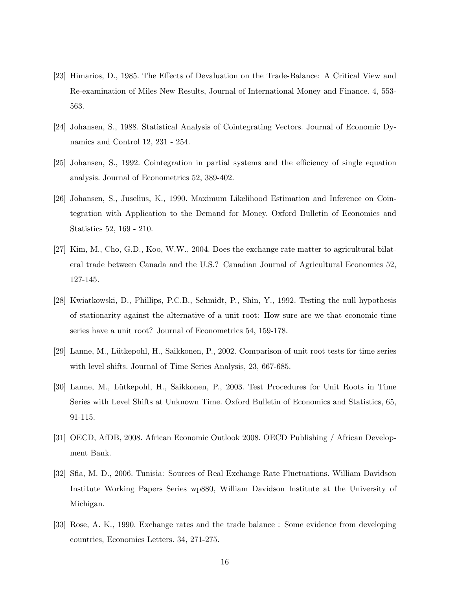- [23] Himarios, D., 1985. The Effects of Devaluation on the Trade-Balance: A Critical View and Re-examination of Miles New Results, Journal of International Money and Finance. 4, 553- 563.
- [24] Johansen, S., 1988. Statistical Analysis of Cointegrating Vectors. Journal of Economic Dynamics and Control 12, 231 - 254.
- [25] Johansen, S., 1992. Cointegration in partial systems and the efficiency of single equation analysis. Journal of Econometrics 52, 389-402.
- [26] Johansen, S., Juselius, K., 1990. Maximum Likelihood Estimation and Inference on Cointegration with Application to the Demand for Money. Oxford Bulletin of Economics and Statistics 52, 169 - 210.
- [27] Kim, M., Cho, G.D., Koo, W.W., 2004. Does the exchange rate matter to agricultural bilateral trade between Canada and the U.S.? Canadian Journal of Agricultural Economics 52, 127-145.
- [28] Kwiatkowski, D., Phillips, P.C.B., Schmidt, P., Shin, Y., 1992. Testing the null hypothesis of stationarity against the alternative of a unit root: How sure are we that economic time series have a unit root? Journal of Econometrics 54, 159-178.
- [29] Lanne, M., L¨utkepohl, H., Saikkonen, P., 2002. Comparison of unit root tests for time series with level shifts. Journal of Time Series Analysis, 23, 667-685.
- [30] Lanne, M., L¨utkepohl, H., Saikkonen, P., 2003. Test Procedures for Unit Roots in Time Series with Level Shifts at Unknown Time. Oxford Bulletin of Economics and Statistics, 65, 91-115.
- [31] OECD, AfDB, 2008. African Economic Outlook 2008. OECD Publishing / African Development Bank.
- [32] Sfia, M. D., 2006. Tunisia: Sources of Real Exchange Rate Fluctuations. William Davidson Institute Working Papers Series wp880, William Davidson Institute at the University of Michigan.
- [33] Rose, A. K., 1990. Exchange rates and the trade balance : Some evidence from developing countries, Economics Letters. 34, 271-275.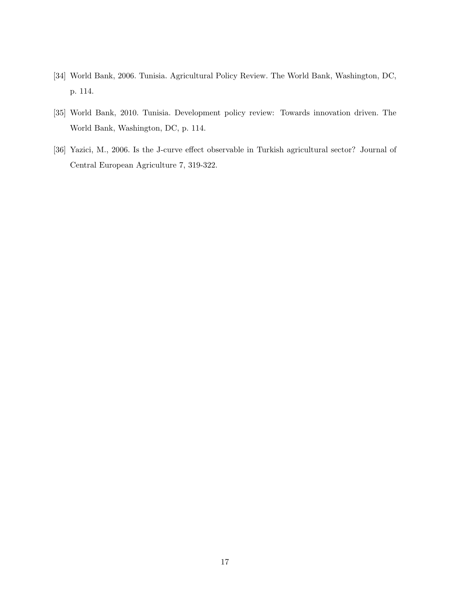- [34] World Bank, 2006. Tunisia. Agricultural Policy Review. The World Bank, Washington, DC, p. 114.
- [35] World Bank, 2010. Tunisia. Development policy review: Towards innovation driven. The World Bank, Washington, DC, p. 114.
- [36] Yazici, M., 2006. Is the J-curve effect observable in Turkish agricultural sector? Journal of Central European Agriculture 7, 319-322.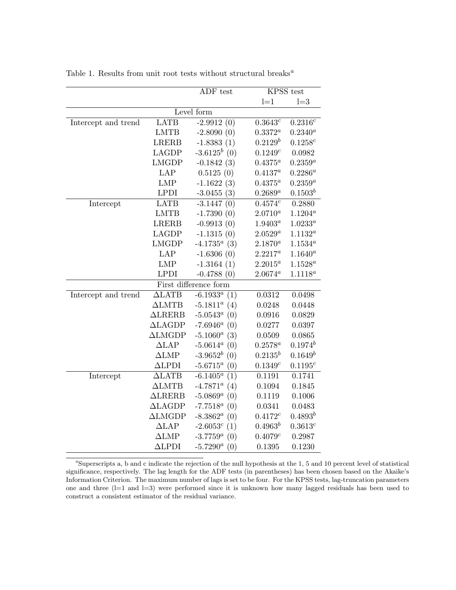|                     |                       | ADF test              | KPSS test             |              |
|---------------------|-----------------------|-----------------------|-----------------------|--------------|
|                     |                       |                       | $l=1$                 | $l=3$        |
|                     |                       | Level form            |                       |              |
| Intercept and trend | <b>LATB</b>           | $-2.9912(0)$          | $0.36\overline{43^c}$ | $0.2316^c$   |
|                     | <b>LMTB</b>           | $-2.8090(0)$          | $0.3372^a$            | $0.2340^{a}$ |
|                     | <b>LRERB</b>          | $-1.8383(1)$          | $0.2129^b$            | $0.1258^c$   |
|                     | LAGDP                 | $-3.6125^{b}$ (0)     | $0.1249^c$            | 0.0982       |
|                     | <b>LMGDP</b>          | $-0.1842(3)$          | $0.4375^a$            | $0.2359^a$   |
|                     | LAP                   | 0.5125(0)             | $0.4137^a$            | $0.2286^a$   |
|                     | LMP                   | $-1.1622(3)$          | $0.4375^a$            | $0.2359^a$   |
|                     | <b>LPDI</b>           | $-3.0455(3)$          | $0.2689^a$            | $0.1503^b$   |
| Intercept           | <b>LATB</b>           | $-3.1447(0)$          | 0.4574c               | 0.2880       |
|                     | <b>LMTB</b>           | $-1.7390(0)$          | $2.0710^a$            | $1.1204^a$   |
|                     | <b>LRERB</b>          | $-0.9913(0)$          | $1.9403^a$            | $1.0233^a$   |
|                     | <b>LAGDP</b>          | $-1.1315(0)$          | $2.0529^a$            | $1.1132^a$   |
|                     | <b>LMGDP</b>          | $-4.1735^a$ (3)       | $2.1870^a$            | $1.1534^a$   |
|                     | LAP                   | $-1.6306(0)$          | $2.2217^a$            | $1.1640^a$   |
|                     | <b>LMP</b>            | $-1.3164(1)$          | $2.2015^a$            | $1.1528^a$   |
|                     | <b>LPDI</b>           | $-0.4788(0)$          | $2.0674^a$            | $1.1118^{a}$ |
|                     |                       | First difference form |                       |              |
| Intercept and trend | $\Delta$ LATB         | $-6.1933^a$ (1)       | $0.031\overline{2}$   | 0.0498       |
|                     | $\Delta LMTB$         | $-5.1811^a$ (4)       | 0.0248                | 0.0448       |
|                     | $\Delta \text{LRERB}$ | $-5.0543^a$ (0)       | 0.0916                | 0.0829       |
|                     | $\Delta$ LAGDP        | $-7.6946^a$ (0)       | 0.0277                | 0.0397       |
|                     | $\Delta LMGDP$        | $-5.1060^a$ (3)       | 0.0509                | 0.0865       |
|                     | $\Delta$ LAP          | $-5.0614^a$ (0)       | $0.2578^a$            | $0.1974^b$   |
|                     | $\Delta LMP$          | $-3.9652^{b}$ (0)     | $0.2135^b$            | $0.1649^b$   |
|                     | $\Delta$ LPDI         | $-5.6715^a$ (0)       | 0.1349c               | $0.1195^{c}$ |
| Intercept           | $\Delta$ LATB         | $-6.1405^a$<br>(1)    | 0.1191                | 0.1741       |
|                     | $\Delta LMTB$         | $-4.7871^a$ (4)       | 0.1094                | 0.1845       |
|                     | $\triangle$ LRERB     | $-5.0869^a$ (0)       | 0.1119                | 0.1006       |
|                     | $\Delta$ LAGDP        | $-7.7518^a$ (0)       | 0.0341                | 0.0483       |
|                     | $\Delta LMGDP$        | $-8.3862^a$ (0)       | $0.4172^c$            | $0.4893^{b}$ |
|                     | $\Delta$ LAP          | $-2.6053^c$ (1)       | $0.4963^b$            | 0.3613c      |
|                     | $\Delta LMP$          | $-3.7759^a$ (0)       | 0.4079c               | 0.2987       |
|                     | $\Delta$ LPDI         | $-5.7290^a$ (0)       | 0.1395                | 0.1230       |

Table 1. Results from unit root tests without structural breaks  $\real^a$ 

 ${}^a$ Superscripts a, b and c indicate the rejection of the null hypothesis at the 1, 5 and 10 percent level of statistical significance, respectively. The lag length for the ADF tests (in parentheses) has been chosen based on the Akaike's Information Criterion. The maximum number of lags is set to be four. For the KPSS tests, lag-truncation parameters one and three (l=1 and l=3) were performed since it is unknown how many lagged residuals has been used to construct a consistent estimator of the residual variance.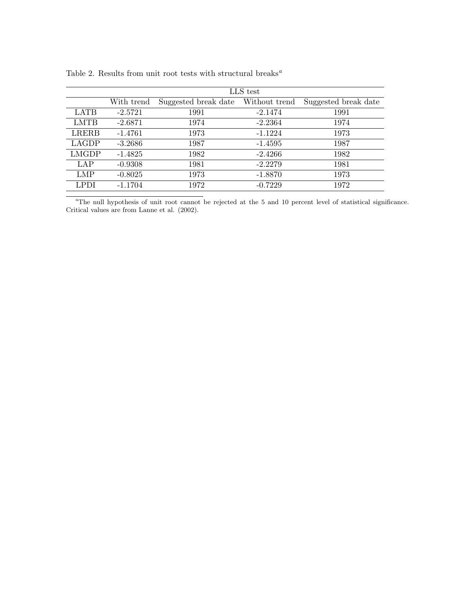|              | LLS test   |                      |               |                      |  |
|--------------|------------|----------------------|---------------|----------------------|--|
|              | With trend | Suggested break date | Without trend | Suggested break date |  |
| <b>LATB</b>  | $-2.5721$  | 1991                 | $-2.1474$     | 1991                 |  |
| LMTB         | $-2.6871$  | 1974                 | $-2.2364$     | 1974                 |  |
| LRERB        | $-1.4761$  | 1973                 | $-1.1224$     | 1973                 |  |
| LAGDP        | $-3.2686$  | 1987                 | $-1.4595$     | 1987                 |  |
| <b>LMGDP</b> | $-1.4825$  | 1982                 | $-2.4266$     | 1982                 |  |
| LAP          | $-0.9308$  | 1981                 | $-2.2279$     | 1981                 |  |
| <b>LMP</b>   | $-0.8025$  | 1973                 | $-1.8870$     | 1973                 |  |
| <b>LPDI</b>  | $-1.1704$  | 1972                 | $-0.7229$     | 1972                 |  |

| Table 2. Results from unit root tests with structural breaks <sup><math>a</math></sup> |  |  |  |  |  |  |  |
|----------------------------------------------------------------------------------------|--|--|--|--|--|--|--|
|----------------------------------------------------------------------------------------|--|--|--|--|--|--|--|

<sup>a</sup>The null hypothesis of unit root cannot be rejected at the 5 and 10 percent level of statistical significance. Critical values are from Lanne et al. (2002).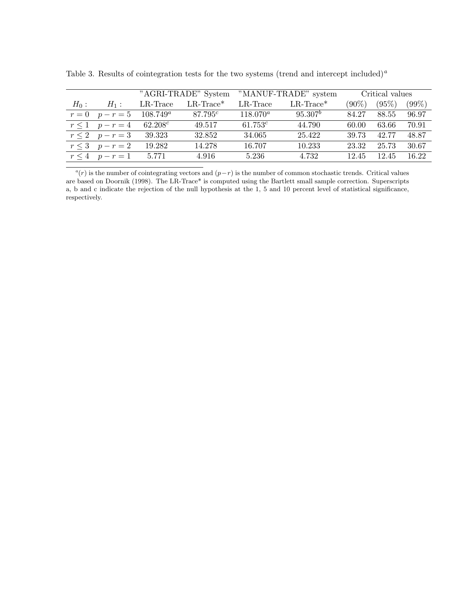|         |                    | "AGRI-TRADE" System |                          |             | "MANUF-TRADE" system     |          | Critical values |          |  |
|---------|--------------------|---------------------|--------------------------|-------------|--------------------------|----------|-----------------|----------|--|
| $H_0$ : | $H_1$ :            | $LR$ -Trace         | $LR$ -Trace <sup>*</sup> | $LR$ -Trace | $LR$ -Trace <sup>*</sup> | $(90\%)$ | (95%)           | $(99\%)$ |  |
| $r=0$   | $p-r=5$            | $108.749^a$         | 87.795c                  | $118.070^a$ | $95.307^b$               | 84.27    | 88.55           | 96.97    |  |
|         | $r \leq 1$ $p-r=4$ | $62.208^c$          | 49.517                   | $61.753^c$  | 44.790                   | 60.00    | 63.66           | 70.91    |  |
|         | $r \leq 2$ $p-r=3$ | 39.323              | 32.852                   | 34.065      | 25.422                   | 39.73    | 42.77           | 48.87    |  |
|         | $r \leq 3$ $p-r=2$ | 19.282              | 14.278                   | 16.707      | 10.233                   | 23.32    | 25.73           | 30.67    |  |
|         | $r \leq 4$ $p-r=1$ | 5.771               | 4.916                    | 5.236       | 4.732                    | 12.45    | 12.45           | 16.22    |  |

Table 3. Results of cointegration tests for the two systems (trend and intercept included)<sup>a</sup>

 $a(r)$  is the number of cointegrating vectors and  $(p-r)$  is the number of common stochastic trends. Critical values are based on Doornik (1998). The LR-Trace\* is computed using the Bartlett small sample correction. Superscripts a, b and c indicate the rejection of the null hypothesis at the 1, 5 and 10 percent level of statistical significance, respectively.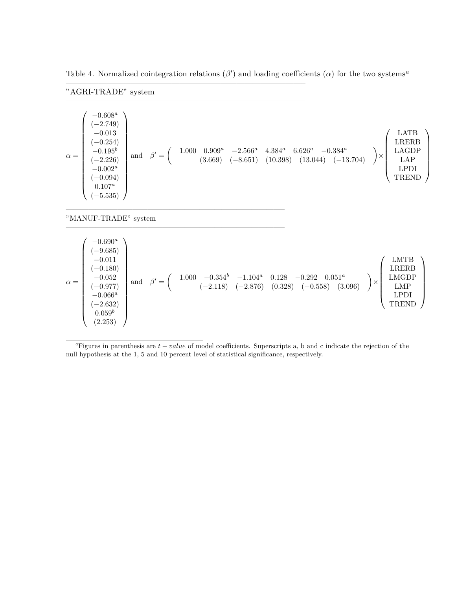Table 4. Normalized cointegration relations ( $\beta'$ ) and loading coefficients ( $\alpha$ ) for the two systems<sup>a</sup>

 $\frac{1}{\sqrt{2}}$  , and the contribution of  $\frac{1}{\sqrt{2}}$  , and  $\frac{1}{\sqrt{2}}$  , and  $\frac{1}{\sqrt{2}}$  , and  $\frac{1}{\sqrt{2}}$  , and  $\frac{1}{\sqrt{2}}$ 

 $\frac{1}{\sqrt{2}}$  , and the contribution of  $\frac{1}{\sqrt{2}}$  , and  $\frac{1}{\sqrt{2}}$  , and  $\frac{1}{\sqrt{2}}$  , and  $\frac{1}{\sqrt{2}}$  , and  $\frac{1}{\sqrt{2}}$ 

 $\overline{\phantom{a}}$  , and the contract of the contract of the contract of the contract of the contract of the contract of the contract of the contract of the contract of the contract of the contract of the contract of the contrac

—————————————————————————————–

| "AGRI-TRADE" system |  |
|---------------------|--|
|---------------------|--|

"MANUF-TRADE" system

| $\alpha =$ | $-0.690^a$<br>$(-9.685)$<br>$-0.011$<br>$(-0.180)$<br>$\begin{array}{c} -0.052 \ (-0.977) \end{array}$<br>$-0.066^a$<br>$(-2.632)$<br>$0.059^b$<br>(2.253) | and | $\beta' =$ | $-0.354^{b}$ $-1.104^{a}$<br>$(-2.118)$ $(-2.876)$<br>1.000 |  | $\begin{array}{c} 0.128 \\ (0.328) \end{array}$<br>$-0.292$ $0.051^a$<br>$(-0.558)$ $(3.051)$ | (3.096) | $\times$ | <b>LMTB</b><br><b>LRERB</b><br><b>LMGDP</b><br><b>LMP</b><br><b>LPDI</b><br><b>TREND</b> |  |
|------------|------------------------------------------------------------------------------------------------------------------------------------------------------------|-----|------------|-------------------------------------------------------------|--|-----------------------------------------------------------------------------------------------|---------|----------|------------------------------------------------------------------------------------------|--|
|------------|------------------------------------------------------------------------------------------------------------------------------------------------------------|-----|------------|-------------------------------------------------------------|--|-----------------------------------------------------------------------------------------------|---------|----------|------------------------------------------------------------------------------------------|--|

<sup>a</sup>Figures in parenthesis are  $t - value$  of model coefficients. Superscripts a, b and c indicate the rejection of the null hypothesis at the 1, 5 and 10 percent level of statistical significance, respectively.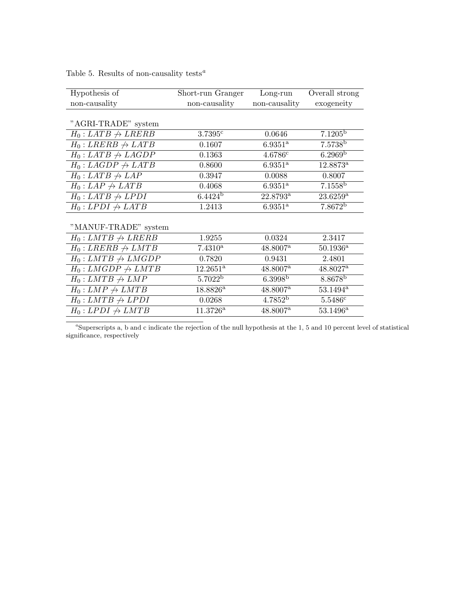## Table 5. Results of non-causality tests<sup> $a$ </sup>

| Hypothesis of                  | Short-run Granger | Long-run               | Overall strong         |
|--------------------------------|-------------------|------------------------|------------------------|
| non-causality                  | non-causality     | non-causality          | exogeneity             |
|                                |                   |                        |                        |
| "AGRI-TRADE" system            |                   |                        |                        |
| $H_0: LATB \nrightarrow LRERB$ | 3.7395c           | 0.0646                 | $7.1205^{\rm b}$       |
| $H_0: LRERB \rightarrow LATB$  | 0.1607            | $6.9351^{\rm a}$       | 7.5738 <sup>b</sup>    |
| $H_0: LATB \nrightarrow LAGDP$ | 0.1363            | 4.6786c                | 6.2969 <sup>b</sup>    |
| $H_0: LAGDP \rightarrow LATB$  | 0.8600            | $6.9351^{\rm a}$       | $12.8873^{\rm a}$      |
| $H_0: LATB \nrightarrow LAP$   | 0.3947            | 0.0088                 | 0.8007                 |
| $H_0: LAP \nrightarrow LATB$   | 0.4068            | $6.9351^{\rm a}$       | 7.1558 <sup>b</sup>    |
| $H_0: LATB \nrightarrow LPDI$  | $6.4424^b$        | $22.8793^{\rm a}$      | $23.6259^{\rm a}$      |
| $H_0: LPDI \nrightarrow LATB$  | 1.2413            | $6.9351^{\rm a}$       | 7.8672 <sup>b</sup>    |
|                                |                   |                        |                        |
| "MANUF-TRADE" system           |                   |                        |                        |
| $H_0: LMTB \nrightarrow LRERB$ | 1.9255            | 0.0324                 | 2.3417                 |
| $H_0: LRERB \nrightarrow LMTB$ | $7.4310^a$        | $48.8007^{\rm a}$      | $50.1936^{\rm a}$      |
| $H_0: LMTB \nrightarrow LMGDP$ | 0.7820            | 0.9431                 | 2.4801                 |
| $H_0: LMGDP \nrightarrow LMTB$ | $12.2651^{\rm a}$ | 48.8007 <sup>a</sup>   | $48.8027$ <sup>a</sup> |
| $H_0: LMTB \nrightarrow LMP$   | $5.7022^{\rm b}$  | 6.3998 <sup>b</sup>    | 8.8678 <sup>b</sup>    |
| $H_0: LMP \nrightarrow LMTB$   | $18.8826^{\rm a}$ | $48.8007$ <sup>a</sup> | $53.1494^{\rm a}$      |
| $H_0: LMTB \nrightarrow LPDI$  | 0.0268            | 4.7852 <sup>b</sup>    | 5.5486c                |
| $H_0: LPDI \nrightarrow LMTB$  | $11.3726^{\rm a}$ | $48.8007^{\rm a}$      | $53.1496^{\rm a}$      |

 $a$ <sup>a</sup>Superscripts a, b and c indicate the rejection of the null hypothesis at the 1, 5 and 10 percent level of statistical significance, respectively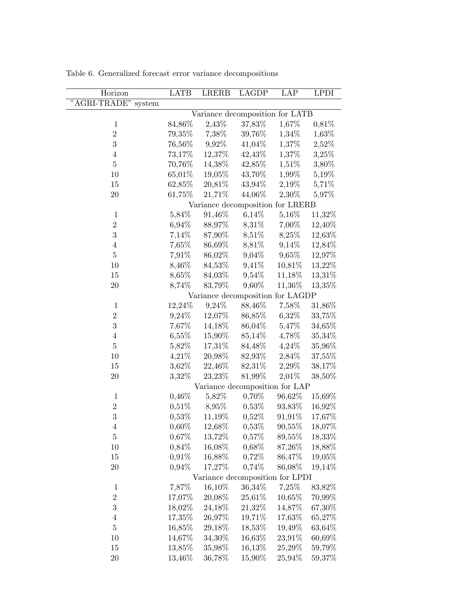| Horizon                | <b>LATB</b> | <b>LRERB</b> | <b>LAGDP</b>                     | $\overline{LAP}$ | <b>LPDI</b> |
|------------------------|-------------|--------------|----------------------------------|------------------|-------------|
| "AGRI-TRADE"<br>system |             |              |                                  |                  |             |
|                        |             |              | Variance decomposition for LATB  |                  |             |
| $\mathbf{1}$           | 84,86%      | 2,43%        | 37,83%                           | 1,67%            | 0,81\%      |
| $\overline{2}$         | $79,35\%$   | 7,38%        | 39,76%                           | 1,34%            | 1,63%       |
| $\boldsymbol{3}$       | 76,56%      | 9,92%        | 41,04%                           | $1,\!37\%$       | 2,52%       |
| $\overline{4}$         | 73,17%      | 12,37%       | 42,43%                           | 1,37%            | 3,25%       |
| $\overline{5}$         | 70,76%      | 14,38%       | 42,85%                           | 1,51%            | 3,80%       |
| 10                     | 65,01%      | 19,05%       | 43,70%                           | 1,99%            | $5,19\%$    |
| 15                     | 62,85%      | 20,81%       | 43,94%                           | 2,19%            | 5,71\%      |
| 20                     | 61,75%      | 21,71%       | 44,06%                           | 2,30%            | 5,97%       |
|                        |             |              | Variance decomposition for LRERB |                  |             |
| $\mathbf{1}$           | 5,84%       | 91,46%       | 6,14%                            | 5,16%            | 11,32%      |
| $\overline{2}$         | $6,94\%$    | 88,97%       | 8,31%                            | 7,00%            | 12,40%      |
| 3                      | 7,14%       | 87,90%       | 8,51%                            | 8,25%            | 12,63%      |
| $\overline{4}$         | 7,65%       | 86,69%       | 8,81%                            | 9,14%            | 12,84%      |
| $\overline{5}$         | $7,91\%$    | 86,02%       | 9,04%                            | 9,65%            | 12,97%      |
| 10                     | 8,46%       | 84,53%       | 9,41%                            | 10,81%           | 13,22%      |
| 15                     | 8,65%       | 84,03%       | 9,54%                            | 11,18%           | 13,31%      |
| 20                     | 8,74%       | 83,79%       | 9,60%                            | 11,36%           | 13,35%      |
|                        |             |              | Variance decomposition for LAGDP |                  |             |
| $\mathbf{1}$           | 12,24%      | 9,24%        | 88,46%                           | 7,58%            | 31,86%      |
| $\overline{2}$         | 9,24%       | 12,07%       | 86,85%                           | 6,32%            | 33,75%      |
| $\boldsymbol{3}$       | 7,67%       | 14,18%       | 86,04%                           | 5,47%            | 34,65%      |
| $\,4\,$                | $6,55\%$    | 15,90%       | 85,14%                           | 4,78%            | 35,34%      |
| $\overline{5}$         | 5,82%       | 17,31%       | 84,48%                           | 4,24%            | 35,96%      |
| 10                     | 4,21%       | 20,98%       | 82,93%                           | 2,84%            | 37,55%      |
| 15                     | 3,62%       | 22,46%       | 82,31%                           | 2,29%            | 38,17%      |
| 20                     | 3,32%       | 23,23%       | 81,99%                           | $2,01\%$         | 38,50%      |
|                        |             |              | Variance decomposition for LAP   |                  |             |
| $\mathbf 1$            | $0,46\%$    | 5,82%        | 0,70%                            | 96,62%           | 15,69%      |
| $\overline{2}$         | $0,51\%$    | 8,95%        | $0,53\%$                         | 93,83%           | 16,92%      |
| 3                      | $0,53\%$    | 11,19%       | 0,52%                            | 91,91%           | $17,67\%$   |
| 4                      | 0,60%       | 12,68%       | 0,53%                            | $90,\!55\%$      | 18,07%      |
| $\overline{5}$         | $0,67\%$    | 13,72%       | $0,57\%$                         | 89,55%           | 18,33%      |
| 10                     | 0,84%       | 16,08%       | 0,68%                            | 87,26%           | 18,88%      |
| 15                     | $0,91\%$    | 16,88%       | $0,72\%$                         | 86,47%           | 19,05%      |
| 20                     | $0,94\%$    | 17,27%       | 0,74%                            | 86,08%           | 19,14%      |
|                        |             |              | Variance decomposition for LPDI  |                  |             |
| $\mathbf{1}$           | 7,87%       | 16,10%       | 36,34%                           | 7,25%            | 83,82%      |
| $\overline{2}$         | 17,07%      | 20,08%       | 25,61%                           | 10,65%           | 70,99%      |
| 3                      | 18,02%      | 24,18%       | 21,32%                           | 14,87%           | 67,30%      |
| $\overline{4}$         | 17,35%      | 26,97%       | 19,71%                           | 17,63%           | 65,27%      |
| $\bf 5$                | 16,85%      | 29,18%       | 18,53%                           | 19,49%           | 63,64%      |
| 10                     | 14,67%      | 34,30%       | 16,63%                           | 23,91%           | 60,69%      |
| 15                     | 13,85%      | 35,98%       | 16,13%                           | 25,29%           | 59,79%      |
| 20                     | 13,46%      | 36,78%       | 15,90%                           | 25,94%           | 59,37%      |

Table 6. Generalized forecast error variance decompositions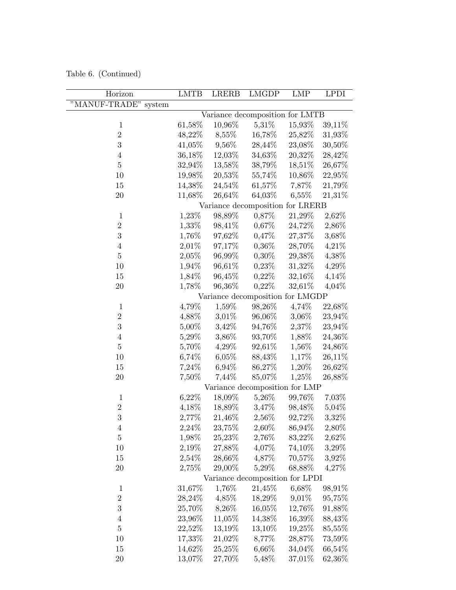Table 6. (Continued)

| Horizon                 | <b>LMTB</b> | <b>LRERB</b> | <b>LMGDP</b>                     | <b>LMP</b> | <b>LPDI</b> |
|-------------------------|-------------|--------------|----------------------------------|------------|-------------|
| "MANUF-TRADE"<br>system |             |              |                                  |            |             |
|                         |             |              | Variance decomposition for LMTB  |            |             |
| $\,1$                   | 61,58%      | 10,96%       | 5,31%                            | 15,93%     | 39,11%      |
| $\sqrt{2}$              | 48,22%      | 8,55%        | 16,78%                           | 25,82%     | 31,93%      |
| 3                       | 41,05%      | $9,56\%$     | 28,44%                           | 23,08%     | $30,50\%$   |
| $\,4\,$                 | 36,18%      | 12,03%       | 34,63%                           | 20,32%     | 28,42%      |
| $\bf 5$                 | 32,94%      | 13,58%       | 38,79%                           | 18,51%     | 26,67%      |
| 10                      | 19,98%      | 20,53%       | 55,74%                           | 10,86%     | 22,95%      |
| 15                      | 14,38%      | 24,54%       | $61,57\%$                        | 7,87%      | 21,79%      |
| 20                      | 11,68%      | 26,64%       | 64,03%                           | $6,55\%$   | 21,31%      |
|                         |             |              | Variance decomposition for LRERB |            |             |
| $\mathbf{1}$            | 1,23%       | 98,89%       | 0,87%                            | 21,29%     | 2,62%       |
| $\boldsymbol{2}$        | $1,33\%$    | 98,41%       | 0,67%                            | 24,72%     | 2,86%       |
| 3                       | 1,76%       | 97,62%       | $0,47\%$                         | 27,37%     | 3,68%       |
| $\bf 4$                 | 2,01%       | 97,17%       | 0,36%                            | 28,70%     | 4,21%       |
| $\overline{5}$          | 2,05%       | 96,99%       | $0,30\%$                         | 29,38%     | 4,38%       |
| 10                      | 1,94%       | 96,61%       | $0,23\%$                         | 31,32%     | 4,29%       |
| 15                      | 1,84%       | 96,45%       | $0,22\%$                         | $32,16\%$  | 4,14%       |
| 20                      | 1,78%       | 96,36%       | $0,22\%$                         | 32,61%     | $4,04\%$    |
|                         |             |              | Variance decomposition for LMGDP |            |             |
| $\mathbf{1}$            | 4,79%       | 1,59%        | 98,26%                           | 4,74%      | 22,68%      |
| $\overline{2}$          | 4,88%       | 3,01%        | 96,06%                           | 3,06%      | 23,94%      |
| 3                       | 5,00%       | 3,42%        | 94,76%                           | 2,37%      | 23,94%      |
| $\bf 4$                 | 5,29%       | 3,86%        | 93,70%                           | 1,88%      | 24,36%      |
| $\bf 5$                 | 5,70%       | 4,29%        | 92,61%                           | 1,56%      | 24,86%      |
| 10                      | 6,74%       | $6,05\%$     | 88,43%                           | 1,17%      | $26,11\%$   |
| 15                      | 7,24%       | 6,94%        | 86,27%                           | 1,20%      | 26,62%      |
| 20                      | 7,50%       | 7,44%        | 85,07%                           | 1,25%      | 26,88%      |
|                         |             |              | Variance decomposition for LMP   |            |             |
| $\,1$                   | 6,22%       | 18,09%       | 5,26%                            | 99,76%     | 7,03%       |
| $\overline{2}$          | 4,18%       | 18,89%       | 3,47%                            | 98,48%     | 5,04%       |
| 3                       | 2,77%       | 21,46%       | 2,56%                            | 92,72%     | 3,32%       |
| $\overline{4}$          | 2,24%       | 23,75%       | 2,60%                            | 86,94%     | 2,80%       |
| $\bf 5$                 | 1,98%       | 25,23%       | 2,76%                            | 83,22%     | 2,62%       |
| 10                      | 2,19%       | 27,88%       | 4,07%                            | 74,10%     | 3,29%       |
| 15                      | $2,54\%$    | 28,66%       | 4,87%                            | 70,57%     | 3,92%       |
| 20                      | 2,75%       | 29,00%       | 5,29%                            | 68,88%     | 4,27%       |
|                         |             |              | Variance decomposition for LPDI  |            |             |
| $\,1\,$                 | 31,67%      | 1,76%        | $21,45\%$                        | 6,68%      | 98,91%      |
| $\overline{2}$          | 28,24%      | 4,85%        | 18,29%                           | 9,01%      | 95,75%      |
| $\sqrt{3}$              | 25,70%      | 8,26%        | 16,05%                           | 12,76%     | 91,88%      |
| $\,4\,$                 | 23,96%      | 11,05%       | 14,38%                           | 16,39%     | 88,43%      |
| $\overline{5}$          | 22,52%      | 13,19%       | 13,10%                           | 19,25%     | 85,55%      |
| 10                      | 17,33%      | 21,02%       | 8,77%                            | 28,87%     | 73,59%      |
| 15                      | 14,62%      | 25,25%       | $6,66\%$                         | 34,04%     | 66,54%      |
| <b>20</b>               | 13,07%      | 27,70%       | 5,48%                            | 37,01%     | 62,36%      |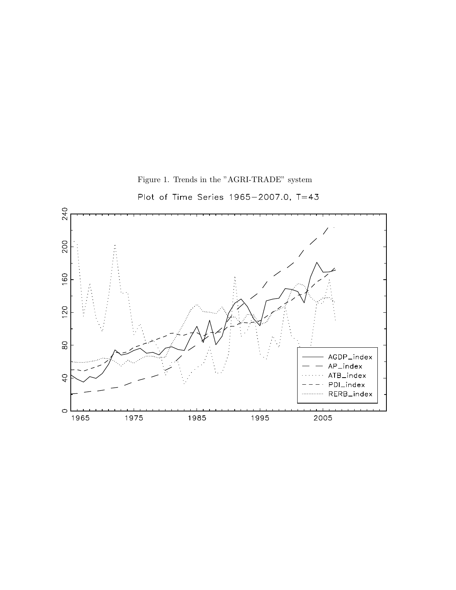

Figure 1. Trends in the "AGRI-TRADE" system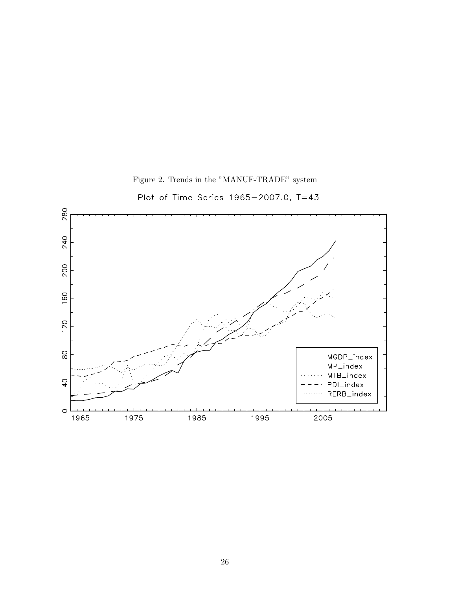

Figure 2. Trends in the "MANUF-TRADE" system